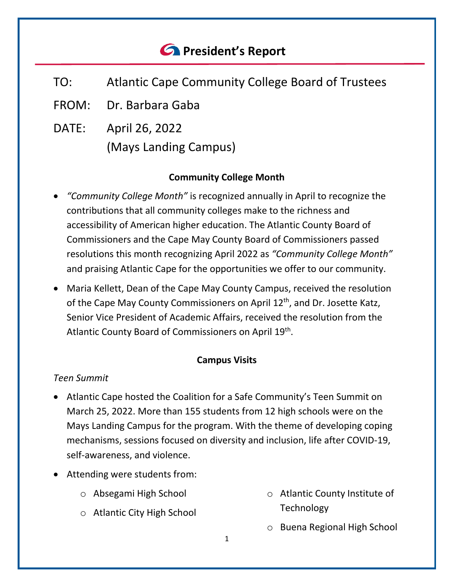# *<u>A</u>* President's Report

- TO: Atlantic Cape Community College Board of Trustees
- FROM: Dr. Barbara Gaba
- DATE: April 26, 2022 (Mays Landing Campus)

#### **Community College Month**

- *"Community College Month"* is recognized annually in April to recognize the contributions that all community colleges make to the richness and accessibility of American higher education. The Atlantic County Board of Commissioners and the Cape May County Board of Commissioners passed resolutions this month recognizing April 2022 as *"Community College Month"* and praising Atlantic Cape for the opportunities we offer to our community.
- Maria Kellett, Dean of the Cape May County Campus, received the resolution of the Cape May County Commissioners on April 12<sup>th</sup>, and Dr. Josette Katz, Senior Vice President of Academic Affairs, received the resolution from the Atlantic County Board of Commissioners on April 19<sup>th</sup>.

#### **Campus Visits**

#### *Teen Summit*

- Atlantic Cape hosted the Coalition for a Safe Community's Teen Summit on March 25, 2022. More than 155 students from 12 high schools were on the Mays Landing Campus for the program. With the theme of developing coping mechanisms, sessions focused on diversity and inclusion, life after COVID-19, self-awareness, and violence.
- Attending were students from:
	- o Absegami High School
	- o Atlantic City High School
- o Atlantic County Institute of **Technology**
- o Buena Regional High School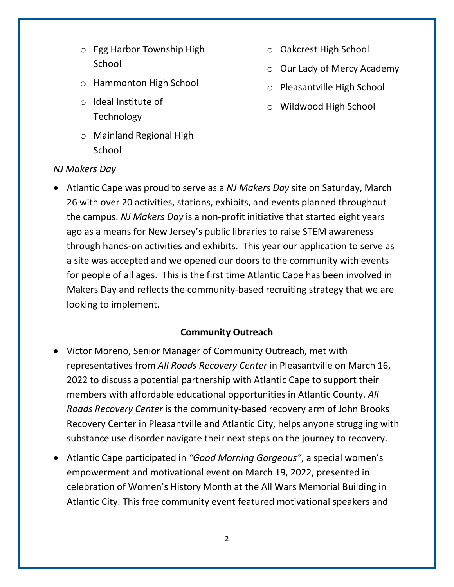- o Egg Harbor Township High School
- o Hammonton High School
- o Ideal Institute of Technology
- o Mainland Regional High **School**
- o Oakcrest High School
- o Our Lady of Mercy Academy
- o Pleasantville High School
- o Wildwood High School

#### *NJ Makers Day*

• Atlantic Cape was proud to serve as a *NJ Makers Day* site on Saturday, March 26 with over 20 activities, stations, exhibits, and events planned throughout the campus. *NJ Makers Day* is a non-profit initiative that started eight years ago as a means for New Jersey's public libraries to raise STEM awareness through hands-on activities and exhibits. This year our application to serve as a site was accepted and we opened our doors to the community with events for people of all ages. This is the first time Atlantic Cape has been involved in Makers Day and reflects the community-based recruiting strategy that we are looking to implement.

#### **Community Outreach**

- Victor Moreno, Senior Manager of Community Outreach, met with representatives from *All Roads Recovery Center* in Pleasantville on March 16, 2022 to discuss a potential partnership with Atlantic Cape to support their members with affordable educational opportunities in Atlantic County. *All Roads Recovery Center* is the community-based recovery arm of John Brooks Recovery Center in Pleasantville and Atlantic City, helps anyone struggling with substance use disorder navigate their next steps on the journey to recovery.
- Atlantic Cape participated in *"Good Morning Gorgeous"*, a special women's empowerment and motivational event on March 19, 2022, presented in celebration of Women's History Month at the All Wars Memorial Building in Atlantic City. This free community event featured motivational speakers and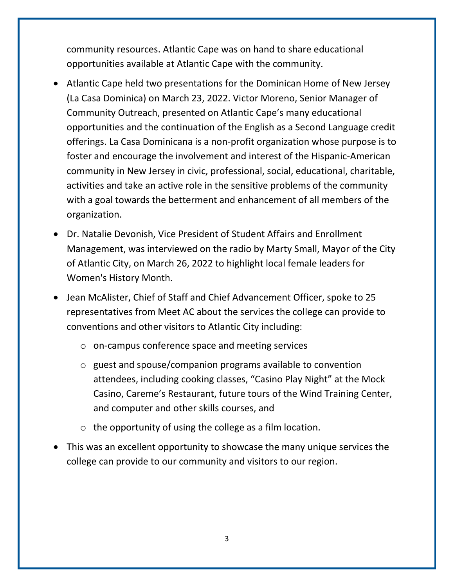community resources. Atlantic Cape was on hand to share educational opportunities available at Atlantic Cape with the community.

- Atlantic Cape held two presentations for the Dominican Home of New Jersey (La Casa Dominica) on March 23, 2022. Victor Moreno, Senior Manager of Community Outreach, presented on Atlantic Cape's many educational opportunities and the continuation of the English as a Second Language credit offerings. La Casa Dominicana is a non-profit organization whose purpose is to foster and encourage the involvement and interest of the Hispanic-American community in New Jersey in civic, professional, social, educational, charitable, activities and take an active role in the sensitive problems of the community with a goal towards the betterment and enhancement of all members of the organization.
- Dr. Natalie Devonish, Vice President of Student Affairs and Enrollment Management, was interviewed on the radio by Marty Small, Mayor of the City of Atlantic City, on March 26, 2022 to highlight local female leaders for Women's History Month.
- Jean McAlister, Chief of Staff and Chief Advancement Officer, spoke to 25 representatives from Meet AC about the services the college can provide to conventions and other visitors to Atlantic City including:
	- o on-campus conference space and meeting services
	- o guest and spouse/companion programs available to convention attendees, including cooking classes, "Casino Play Night" at the Mock Casino, Careme's Restaurant, future tours of the Wind Training Center, and computer and other skills courses, and
	- o the opportunity of using the college as a film location.
- This was an excellent opportunity to showcase the many unique services the college can provide to our community and visitors to our region.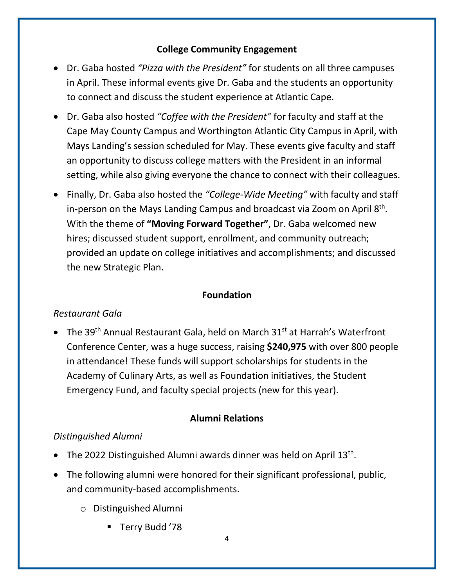#### **College Community Engagement**

- Dr. Gaba hosted *"Pizza with the President"* for students on all three campuses in April. These informal events give Dr. Gaba and the students an opportunity to connect and discuss the student experience at Atlantic Cape.
- Dr. Gaba also hosted *"Coffee with the President"* for faculty and staff at the Cape May County Campus and Worthington Atlantic City Campus in April, with Mays Landing's session scheduled for May. These events give faculty and staff an opportunity to discuss college matters with the President in an informal setting, while also giving everyone the chance to connect with their colleagues.
- Finally, Dr. Gaba also hosted the *"College-Wide Meeting"* with faculty and staff in-person on the Mays Landing Campus and broadcast via Zoom on April 8<sup>th</sup>. With the theme of **"Moving Forward Together"**, Dr. Gaba welcomed new hires; discussed student support, enrollment, and community outreach; provided an update on college initiatives and accomplishments; and discussed the new Strategic Plan.

#### **Foundation**

#### *Restaurant Gala*

• The 39<sup>th</sup> Annual Restaurant Gala, held on March 31<sup>st</sup> at Harrah's Waterfront Conference Center, was a huge success, raising **\$240,975** with over 800 people in attendance! These funds will support scholarships for students in the Academy of Culinary Arts, as well as Foundation initiatives, the Student Emergency Fund, and faculty special projects (new for this year).

#### **Alumni Relations**

#### *Distinguished Alumni*

- The 2022 Distinguished Alumni awards dinner was held on April  $13<sup>th</sup>$ .
- The following alumni were honored for their significant professional, public, and community-based accomplishments.
	- o Distinguished Alumni
		- Terry Budd '78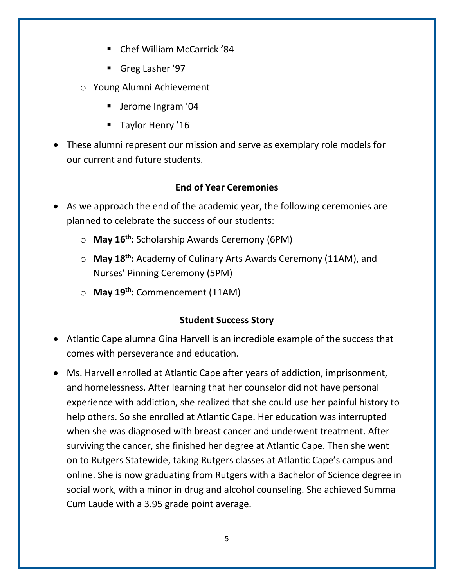- Chef William McCarrick '84
- Greg Lasher '97
- o Young Alumni Achievement
	- **Jerome Ingram '04**
	- **Taylor Henry '16**
- These alumni represent our mission and serve as exemplary role models for our current and future students.

### **End of Year Ceremonies**

- As we approach the end of the academic year, the following ceremonies are planned to celebrate the success of our students:
	- o **May 16th:** Scholarship Awards Ceremony (6PM)
	- o **May 18th:** Academy of Culinary Arts Awards Ceremony (11AM), and Nurses' Pinning Ceremony (5PM)
	- o **May 19th:** Commencement (11AM)

## **Student Success Story**

- Atlantic Cape alumna Gina Harvell is an incredible example of the success that comes with perseverance and education.
- Ms. Harvell enrolled at Atlantic Cape after years of addiction, imprisonment, and homelessness. After learning that her counselor did not have personal experience with addiction, she realized that she could use her painful history to help others. So she enrolled at Atlantic Cape. Her education was interrupted when she was diagnosed with breast cancer and underwent treatment. After surviving the cancer, she finished her degree at Atlantic Cape. Then she went on to Rutgers Statewide, taking Rutgers classes at Atlantic Cape's campus and online. She is now graduating from Rutgers with a Bachelor of Science degree in social work, with a minor in drug and alcohol counseling. She achieved Summa Cum Laude with a 3.95 grade point average.